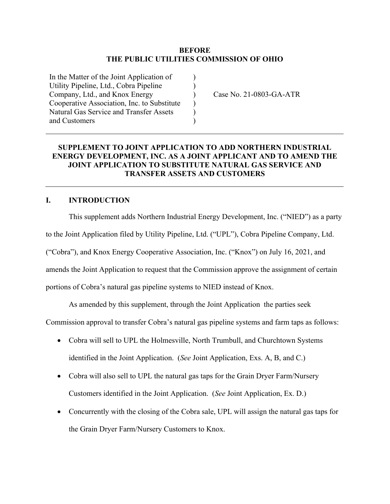### **BEFORE THE PUBLIC UTILITIES COMMISSION OF OHIO**

) ) )  $\lambda$ ) )

In the Matter of the Joint Application of Utility Pipeline, Ltd., Cobra Pipeline Company, Ltd., and Knox Energy Cooperative Association, Inc. to Substitute Natural Gas Service and Transfer Assets and Customers

Case No. 21-0803-GA-ATR

## **SUPPLEMENT TO JOINT APPLICATION TO ADD NORTHERN INDUSTRIAL ENERGY DEVELOPMENT, INC. AS A JOINT APPLICANT AND TO AMEND THE JOINT APPLICATION TO SUBSTITUTE NATURAL GAS SERVICE AND TRANSFER ASSETS AND CUSTOMERS**

## **I. INTRODUCTION**

This supplement adds Northern Industrial Energy Development, Inc. ("NIED") as a party to the Joint Application filed by Utility Pipeline, Ltd. ("UPL"), Cobra Pipeline Company, Ltd. ("Cobra"), and Knox Energy Cooperative Association, Inc. ("Knox") on July 16, 2021, and amends the Joint Application to request that the Commission approve the assignment of certain portions of Cobra's natural gas pipeline systems to NIED instead of Knox.

As amended by this supplement, through the Joint Application the parties seek

Commission approval to transfer Cobra's natural gas pipeline systems and farm taps as follows:

- Cobra will sell to UPL the Holmesville, North Trumbull, and Churchtown Systems identified in the Joint Application. (*See* Joint Application, Exs. A, B, and C.)
- Cobra will also sell to UPL the natural gas taps for the Grain Dryer Farm/Nursery Customers identified in the Joint Application. (*See* Joint Application, Ex. D.)
- Concurrently with the closing of the Cobra sale, UPL will assign the natural gas taps for the Grain Dryer Farm/Nursery Customers to Knox.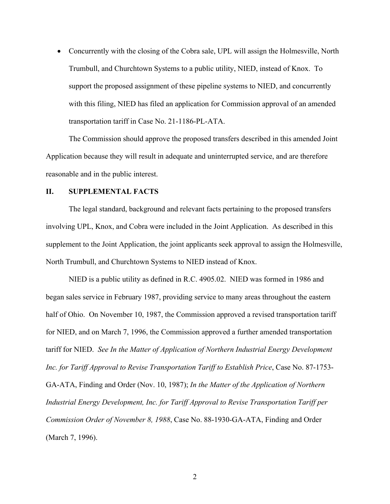• Concurrently with the closing of the Cobra sale, UPL will assign the Holmesville, North Trumbull, and Churchtown Systems to a public utility, NIED, instead of Knox. To support the proposed assignment of these pipeline systems to NIED, and concurrently with this filing, NIED has filed an application for Commission approval of an amended transportation tariff in Case No. 21-1186-PL-ATA.

 The Commission should approve the proposed transfers described in this amended Joint Application because they will result in adequate and uninterrupted service, and are therefore reasonable and in the public interest.

#### **II. SUPPLEMENTAL FACTS**

 The legal standard, background and relevant facts pertaining to the proposed transfers involving UPL, Knox, and Cobra were included in the Joint Application. As described in this supplement to the Joint Application, the joint applicants seek approval to assign the Holmesville, North Trumbull, and Churchtown Systems to NIED instead of Knox.

NIED is a public utility as defined in R.C. 4905.02. NIED was formed in 1986 and began sales service in February 1987, providing service to many areas throughout the eastern half of Ohio. On November 10, 1987, the Commission approved a revised transportation tariff for NIED, and on March 7, 1996, the Commission approved a further amended transportation tariff for NIED. *See In the Matter of Application of Northern Industrial Energy Development Inc. for Tariff Approval to Revise Transportation Tariff to Establish Price*, Case No. 87-1753- GA-ATA, Finding and Order (Nov. 10, 1987); *In the Matter of the Application of Northern Industrial Energy Development, Inc. for Tariff Approval to Revise Transportation Tariff per Commission Order of November 8, 1988*, Case No. 88-1930-GA-ATA, Finding and Order (March 7, 1996).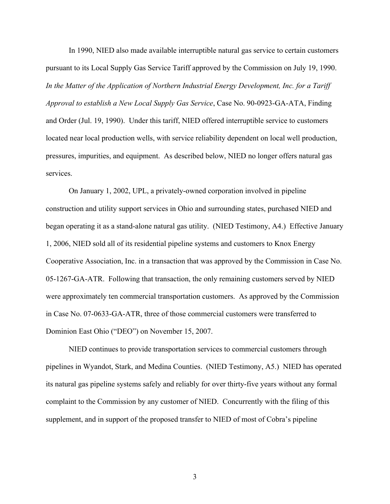In 1990, NIED also made available interruptible natural gas service to certain customers pursuant to its Local Supply Gas Service Tariff approved by the Commission on July 19, 1990. *In the Matter of the Application of Northern Industrial Energy Development, Inc. for a Tariff Approval to establish a New Local Supply Gas Service*, Case No. 90-0923-GA-ATA, Finding and Order (Jul. 19, 1990). Under this tariff, NIED offered interruptible service to customers located near local production wells, with service reliability dependent on local well production, pressures, impurities, and equipment. As described below, NIED no longer offers natural gas services.

On January 1, 2002, UPL, a privately-owned corporation involved in pipeline construction and utility support services in Ohio and surrounding states, purchased NIED and began operating it as a stand-alone natural gas utility. (NIED Testimony, A4.) Effective January 1, 2006, NIED sold all of its residential pipeline systems and customers to Knox Energy Cooperative Association, Inc. in a transaction that was approved by the Commission in Case No. 05-1267-GA-ATR. Following that transaction, the only remaining customers served by NIED were approximately ten commercial transportation customers. As approved by the Commission in Case No. 07-0633-GA-ATR, three of those commercial customers were transferred to Dominion East Ohio ("DEO") on November 15, 2007.

NIED continues to provide transportation services to commercial customers through pipelines in Wyandot, Stark, and Medina Counties. (NIED Testimony, A5.) NIED has operated its natural gas pipeline systems safely and reliably for over thirty-five years without any formal complaint to the Commission by any customer of NIED. Concurrently with the filing of this supplement, and in support of the proposed transfer to NIED of most of Cobra's pipeline

3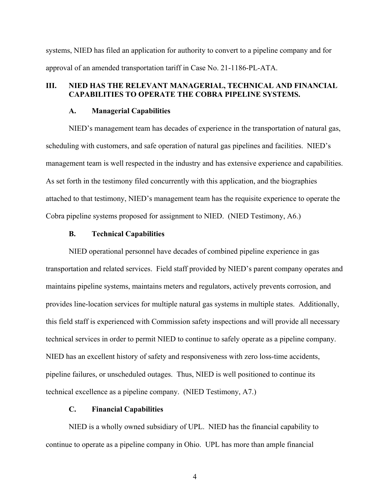systems, NIED has filed an application for authority to convert to a pipeline company and for approval of an amended transportation tariff in Case No. 21-1186-PL-ATA.

### **III. NIED HAS THE RELEVANT MANAGERIAL, TECHNICAL AND FINANCIAL CAPABILITIES TO OPERATE THE COBRA PIPELINE SYSTEMS.**

#### **A. Managerial Capabilities**

NIED's management team has decades of experience in the transportation of natural gas, scheduling with customers, and safe operation of natural gas pipelines and facilities. NIED's management team is well respected in the industry and has extensive experience and capabilities. As set forth in the testimony filed concurrently with this application, and the biographies attached to that testimony, NIED's management team has the requisite experience to operate the Cobra pipeline systems proposed for assignment to NIED. (NIED Testimony, A6.)

#### **B. Technical Capabilities**

NIED operational personnel have decades of combined pipeline experience in gas transportation and related services. Field staff provided by NIED's parent company operates and maintains pipeline systems, maintains meters and regulators, actively prevents corrosion, and provides line-location services for multiple natural gas systems in multiple states. Additionally, this field staff is experienced with Commission safety inspections and will provide all necessary technical services in order to permit NIED to continue to safely operate as a pipeline company. NIED has an excellent history of safety and responsiveness with zero loss-time accidents, pipeline failures, or unscheduled outages. Thus, NIED is well positioned to continue its technical excellence as a pipeline company. (NIED Testimony, A7.)

## **C. Financial Capabilities**

NIED is a wholly owned subsidiary of UPL. NIED has the financial capability to continue to operate as a pipeline company in Ohio. UPL has more than ample financial

4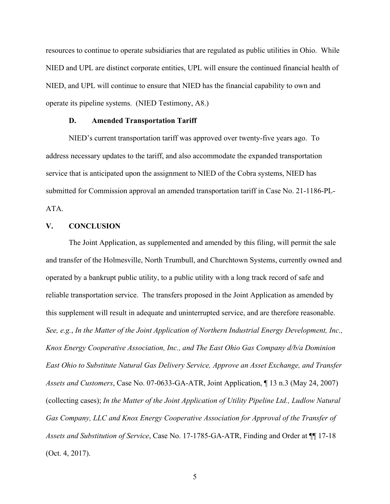resources to continue to operate subsidiaries that are regulated as public utilities in Ohio. While NIED and UPL are distinct corporate entities, UPL will ensure the continued financial health of NIED, and UPL will continue to ensure that NIED has the financial capability to own and operate its pipeline systems. (NIED Testimony, A8.)

#### **D. Amended Transportation Tariff**

NIED's current transportation tariff was approved over twenty-five years ago. To address necessary updates to the tariff, and also accommodate the expanded transportation service that is anticipated upon the assignment to NIED of the Cobra systems, NIED has submitted for Commission approval an amended transportation tariff in Case No. 21-1186-PL-ATA.

## **V. CONCLUSION**

The Joint Application, as supplemented and amended by this filing, will permit the sale and transfer of the Holmesville, North Trumbull, and Churchtown Systems, currently owned and operated by a bankrupt public utility, to a public utility with a long track record of safe and reliable transportation service. The transfers proposed in the Joint Application as amended by this supplement will result in adequate and uninterrupted service, and are therefore reasonable. *See, e.g.*, *In the Matter of the Joint Application of Northern Industrial Energy Development, Inc., Knox Energy Cooperative Association, Inc., and The East Ohio Gas Company d/b/a Dominion East Ohio to Substitute Natural Gas Delivery Service, Approve an Asset Exchange, and Transfer Assets and Customers*, Case No. 07-0633-GA-ATR, Joint Application, ¶ 13 n.3 (May 24, 2007) (collecting cases); *In the Matter of the Joint Application of Utility Pipeline Ltd., Ludlow Natural Gas Company, LLC and Knox Energy Cooperative Association for Approval of the Transfer of Assets and Substitution of Service*, Case No. 17-1785-GA-ATR, Finding and Order at ¶¶ 17-18 (Oct. 4, 2017).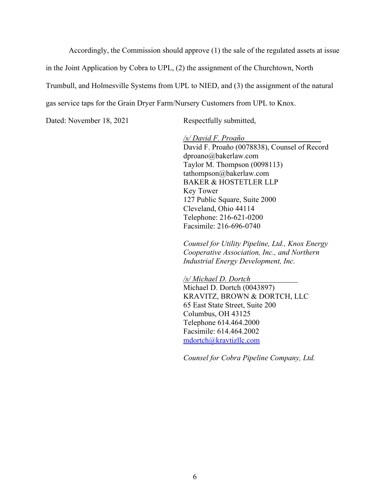Accordingly, the Commission should approve (1) the sale of the regulated assets at issue

in the Joint Application by Cobra to UPL, (2) the assignment of the Churchtown, North

Trumbull, and Holmesville Systems from UPL to NIED, and (3) the assignment of the natural

gas service taps for the Grain Dryer Farm/Nursery Customers from UPL to Knox.

Dated: November 18, 2021 Respectfully submitted,

*/s/ David F. Proaño*  David F. Proaño (0078838), Counsel of Record dproano@bakerlaw.com Taylor M. Thompson (0098113) tathompson@bakerlaw.com BAKER & HOSTETLER LLP Key Tower 127 Public Square, Suite 2000 Cleveland, Ohio 44114 Telephone: 216-621-0200 Facsimile: 216-696-0740

*Counsel for Utility Pipeline, Ltd., Knox Energy Cooperative Association, Inc., and Northern Industrial Energy Development, Inc.* 

*/s/ Michael D. Dortch* Michael D. Dortch (0043897) KRAVITZ, BROWN & DORTCH, LLC 65 East State Street, Suite 200 Columbus, OH 43125 Telephone 614.464.2000 Facsimile: 614.464.2002 mdortch@kravtizllc.com

*Counsel for Cobra Pipeline Company, Ltd.*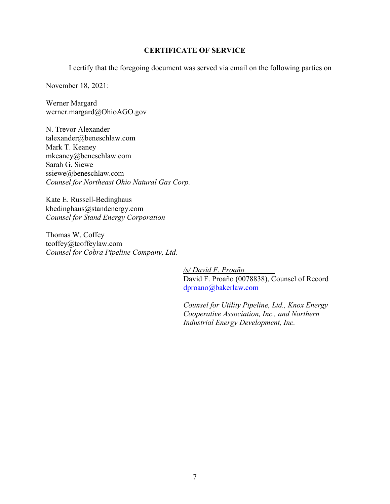## **CERTIFICATE OF SERVICE**

I certify that the foregoing document was served via email on the following parties on

November 18, 2021:

Werner Margard werner.margard@OhioAGO.gov

N. Trevor Alexander talexander@beneschlaw.com Mark T. Keaney mkeaney@beneschlaw.com Sarah G. Siewe ssiewe@beneschlaw.com *Counsel for Northeast Ohio Natural Gas Corp.* 

Kate E. Russell-Bedinghaus kbedinghaus@standenergy.com *Counsel for Stand Energy Corporation* 

Thomas W. Coffey tcoffey@tcoffeylaw.com *Counsel for Cobra Pipeline Company, Ltd.* 

> */s/ David F. Proaño* David F. Proaño (0078838), Counsel of Record dproano@bakerlaw.com

> *Counsel for Utility Pipeline, Ltd., Knox Energy Cooperative Association, Inc., and Northern Industrial Energy Development, Inc.*